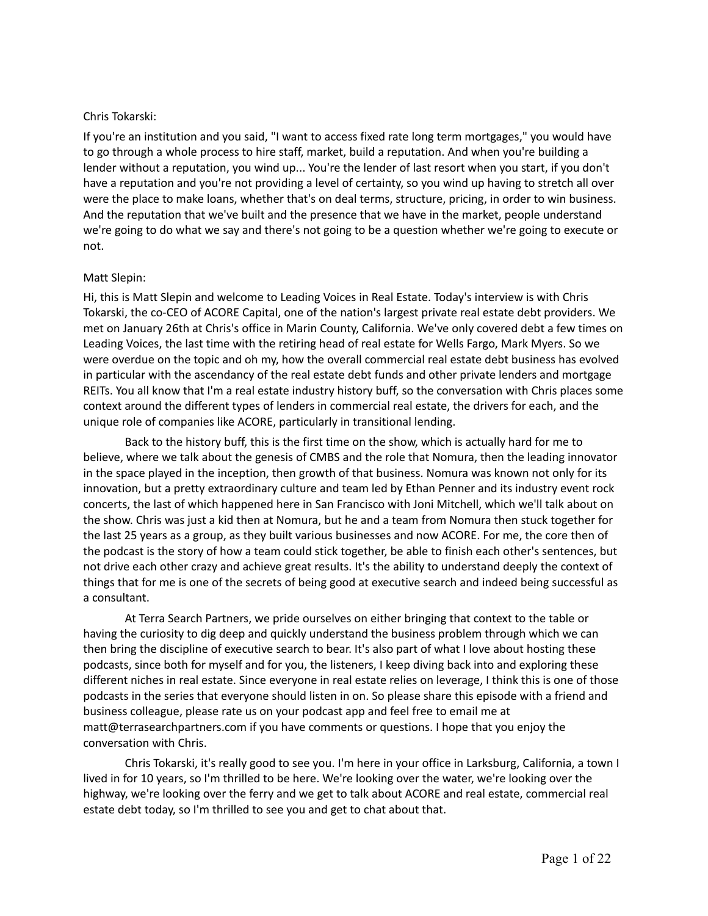#### Chris Tokarski:

If you're an institution and you said, "I want to access fixed rate long term mortgages," you would have to go through a whole process to hire staff, market, build a reputation. And when you're building a lender without a reputation, you wind up... You're the lender of last resort when you start, if you don't have a reputation and you're not providing a level of certainty, so you wind up having to stretch all over were the place to make loans, whether that's on deal terms, structure, pricing, in order to win business. And the reputation that we've built and the presence that we have in the market, people understand we're going to do what we say and there's not going to be a question whether we're going to execute or not.

#### Matt Slepin:

Hi, this is Matt Slepin and welcome to Leading Voices in Real Estate. Today's interview is with Chris Tokarski, the co-CEO of ACORE Capital, one of the nation's largest private real estate debt providers. We met on January 26th at Chris's office in Marin County, California. We've only covered debt a few times on Leading Voices, the last time with the retiring head of real estate for Wells Fargo, Mark Myers. So we were overdue on the topic and oh my, how the overall commercial real estate debt business has evolved in particular with the ascendancy of the real estate debt funds and other private lenders and mortgage REITs. You all know that I'm a real estate industry history buff, so the conversation with Chris places some context around the different types of lenders in commercial real estate, the drivers for each, and the unique role of companies like ACORE, particularly in transitional lending.

Back to the history buff, this is the first time on the show, which is actually hard for me to believe, where we talk about the genesis of CMBS and the role that Nomura, then the leading innovator in the space played in the inception, then growth of that business. Nomura was known not only for its innovation, but a pretty extraordinary culture and team led by Ethan Penner and its industry event rock concerts, the last of which happened here in San Francisco with Joni Mitchell, which we'll talk about on the show. Chris was just a kid then at Nomura, but he and a team from Nomura then stuck together for the last 25 years as a group, as they built various businesses and now ACORE. For me, the core then of the podcast is the story of how a team could stick together, be able to finish each other's sentences, but not drive each other crazy and achieve great results. It's the ability to understand deeply the context of things that for me is one of the secrets of being good at executive search and indeed being successful as a consultant.

At Terra Search Partners, we pride ourselves on either bringing that context to the table or having the curiosity to dig deep and quickly understand the business problem through which we can then bring the discipline of executive search to bear. It's also part of what I love about hosting these podcasts, since both for myself and for you, the listeners, I keep diving back into and exploring these different niches in real estate. Since everyone in real estate relies on leverage, I think this is one of those podcasts in the series that everyone should listen in on. So please share this episode with a friend and business colleague, please rate us on your podcast app and feel free to email me at matt@terrasearchpartners.com if you have comments or questions. I hope that you enjoy the conversation with Chris.

Chris Tokarski, it's really good to see you. I'm here in your office in Larksburg, California, a town I lived in for 10 years, so I'm thrilled to be here. We're looking over the water, we're looking over the highway, we're looking over the ferry and we get to talk about ACORE and real estate, commercial real estate debt today, so I'm thrilled to see you and get to chat about that.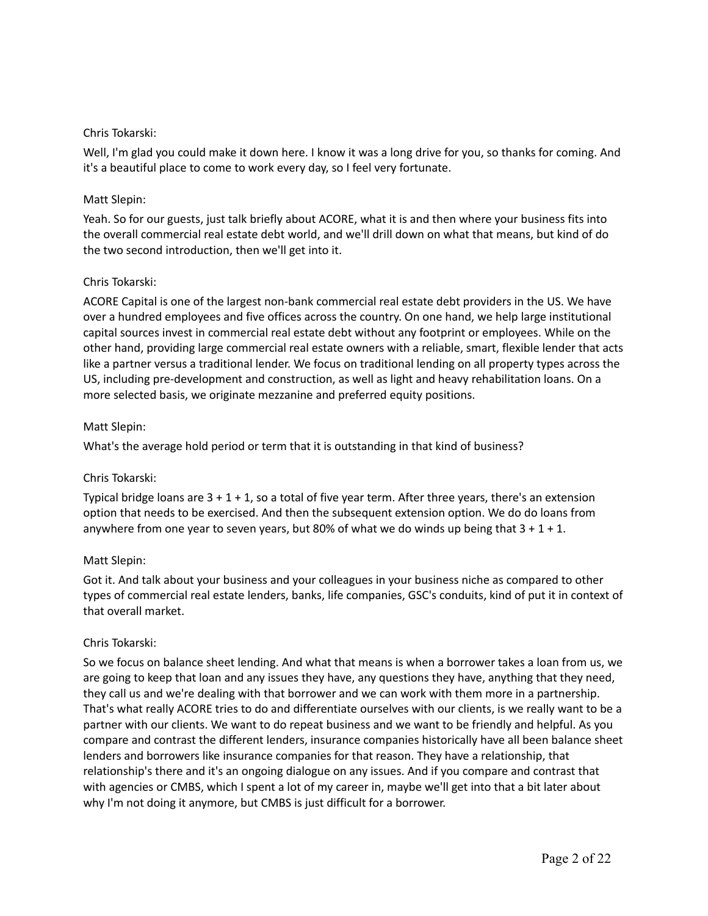## Chris Tokarski:

Well, I'm glad you could make it down here. I know it was a long drive for you, so thanks for coming. And it's a beautiful place to come to work every day, so I feel very fortunate.

# Matt Slepin:

Yeah. So for our guests, just talk briefly about ACORE, what it is and then where your business fits into the overall commercial real estate debt world, and we'll drill down on what that means, but kind of do the two second introduction, then we'll get into it.

# Chris Tokarski:

ACORE Capital is one of the largest non-bank commercial real estate debt providers in the US. We have over a hundred employees and five offices across the country. On one hand, we help large institutional capital sources invest in commercial real estate debt without any footprint or employees. While on the other hand, providing large commercial real estate owners with a reliable, smart, flexible lender that acts like a partner versus a traditional lender. We focus on traditional lending on all property types across the US, including pre-development and construction, as well as light and heavy rehabilitation loans. On a more selected basis, we originate mezzanine and preferred equity positions.

# Matt Slepin:

What's the average hold period or term that it is outstanding in that kind of business?

# Chris Tokarski:

Typical bridge loans are  $3 + 1 + 1$ , so a total of five year term. After three years, there's an extension option that needs to be exercised. And then the subsequent extension option. We do do loans from anywhere from one year to seven years, but 80% of what we do winds up being that  $3 + 1 + 1$ .

## Matt Slepin:

Got it. And talk about your business and your colleagues in your business niche as compared to other types of commercial real estate lenders, banks, life companies, GSC's conduits, kind of put it in context of that overall market.

## Chris Tokarski:

So we focus on balance sheet lending. And what that means is when a borrower takes a loan from us, we are going to keep that loan and any issues they have, any questions they have, anything that they need, they call us and we're dealing with that borrower and we can work with them more in a partnership. That's what really ACORE tries to do and differentiate ourselves with our clients, is we really want to be a partner with our clients. We want to do repeat business and we want to be friendly and helpful. As you compare and contrast the different lenders, insurance companies historically have all been balance sheet lenders and borrowers like insurance companies for that reason. They have a relationship, that relationship's there and it's an ongoing dialogue on any issues. And if you compare and contrast that with agencies or CMBS, which I spent a lot of my career in, maybe we'll get into that a bit later about why I'm not doing it anymore, but CMBS is just difficult for a borrower.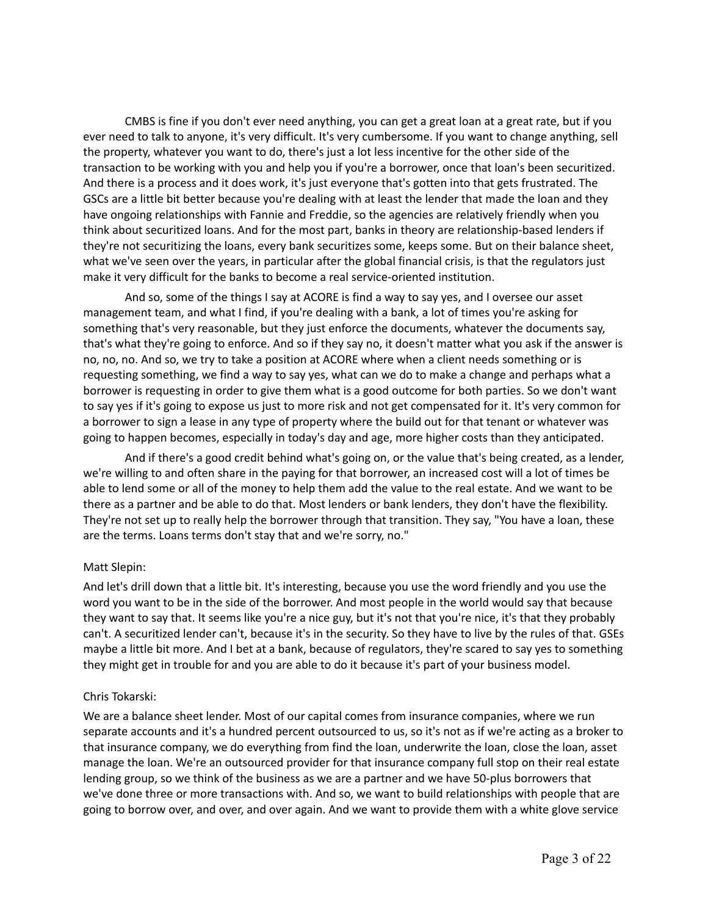CMBS is fine if you don't ever need anything, you can get a great loan at a great rate, but if you ever need to talk to anyone, it's very difficult. It's very cumbersome. If you want to change anything, sell the property, whatever you want to do, there's just a lot less incentive for the other side of the transaction to be working with you and help you if you're a borrower, once that loan's been securitized. And there is a process and it does work, it's just everyone that's gotten into that gets frustrated. The GSCs are a little bit better because you're dealing with at least the lender that made the loan and they have ongoing relationships with Fannie and Freddie, so the agencies are relatively friendly when you think about securitized loans. And for the most part, banks in theory are relationship-based lenders if they're not securitizing the loans, every bank securitizes some, keeps some. But on their balance sheet, what we've seen over the years, in particular after the global financial crisis, is that the regulators just make it very difficult for the banks to become a real service-oriented institution.

And so, some of the things I say at ACORE is find a way to say yes, and I oversee our asset management team, and what I find, if you're dealing with a bank, a lot of times you're asking for something that's very reasonable, but they just enforce the documents, whatever the documents say, that's what they're going to enforce. And so if they say no, it doesn't matter what you ask if the answer is no, no, no. And so, we try to take a position at ACORE where when a client needs something or is requesting something, we find a way to say yes, what can we do to make a change and perhaps what a borrower is requesting in order to give them what is a good outcome for both parties. So we don't want to say yes if it's going to expose us just to more risk and not get compensated for it. It's very common for a borrower to sign a lease in any type of property where the build out for that tenant or whatever was going to happen becomes, especially in today's day and age, more higher costs than they anticipated.

And if there's a good credit behind what's going on, or the value that's being created, as a lender, we're willing to and often share in the paying for that borrower, an increased cost will a lot of times be able to lend some or all of the money to help them add the value to the real estate. And we want to be there as a partner and be able to do that. Most lenders or bank lenders, they don't have the flexibility. They're not set up to really help the borrower through that transition. They say, "You have a loan, these are the terms. Loans terms don't stay that and we're sorry, no."

## Matt Slepin:

And let's drill down that a little bit. It's interesting, because you use the word friendly and you use the word you want to be in the side of the borrower. And most people in the world would say that because they want to say that. It seems like you're a nice guy, but it's not that you're nice, it's that they probably can't. A securitized lender can't, because it's in the security. So they have to live by the rules of that. GSEs maybe a little bit more. And I bet at a bank, because of regulators, they're scared to say yes to something they might get in trouble for and you are able to do it because it's part of your business model.

## Chris Tokarski:

We are a balance sheet lender. Most of our capital comes from insurance companies, where we run separate accounts and it's a hundred percent outsourced to us, so it's not as if we're acting as a broker to that insurance company, we do everything from find the loan, underwrite the loan, close the loan, asset manage the loan. We're an outsourced provider for that insurance company full stop on their real estate lending group, so we think of the business as we are a partner and we have 50-plus borrowers that we've done three or more transactions with. And so, we want to build relationships with people that are going to borrow over, and over, and over again. And we want to provide them with a white glove service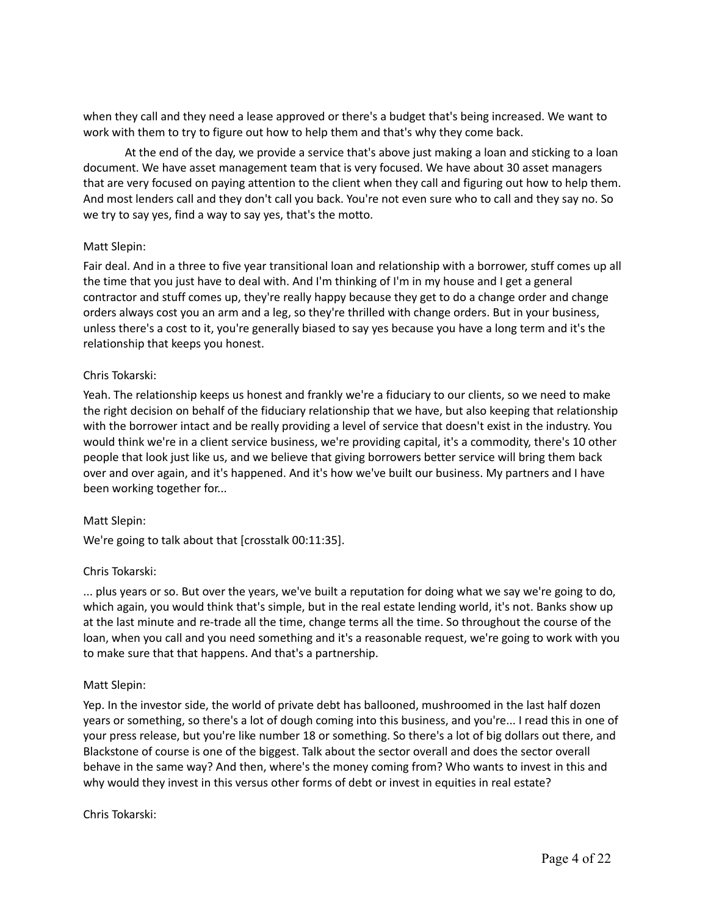when they call and they need a lease approved or there's a budget that's being increased. We want to work with them to try to figure out how to help them and that's why they come back.

At the end of the day, we provide a service that's above just making a loan and sticking to a loan document. We have asset management team that is very focused. We have about 30 asset managers that are very focused on paying attention to the client when they call and figuring out how to help them. And most lenders call and they don't call you back. You're not even sure who to call and they say no. So we try to say yes, find a way to say yes, that's the motto.

## Matt Slepin:

Fair deal. And in a three to five year transitional loan and relationship with a borrower, stuff comes up all the time that you just have to deal with. And I'm thinking of I'm in my house and I get a general contractor and stuff comes up, they're really happy because they get to do a change order and change orders always cost you an arm and a leg, so they're thrilled with change orders. But in your business, unless there's a cost to it, you're generally biased to say yes because you have a long term and it's the relationship that keeps you honest.

# Chris Tokarski:

Yeah. The relationship keeps us honest and frankly we're a fiduciary to our clients, so we need to make the right decision on behalf of the fiduciary relationship that we have, but also keeping that relationship with the borrower intact and be really providing a level of service that doesn't exist in the industry. You would think we're in a client service business, we're providing capital, it's a commodity, there's 10 other people that look just like us, and we believe that giving borrowers better service will bring them back over and over again, and it's happened. And it's how we've built our business. My partners and I have been working together for...

## Matt Slepin:

We're going to talk about that [crosstalk 00:11:35].

## Chris Tokarski:

... plus years or so. But over the years, we've built a reputation for doing what we say we're going to do, which again, you would think that's simple, but in the real estate lending world, it's not. Banks show up at the last minute and re-trade all the time, change terms all the time. So throughout the course of the loan, when you call and you need something and it's a reasonable request, we're going to work with you to make sure that that happens. And that's a partnership.

## Matt Slepin:

Yep. In the investor side, the world of private debt has ballooned, mushroomed in the last half dozen years or something, so there's a lot of dough coming into this business, and you're... I read this in one of your press release, but you're like number 18 or something. So there's a lot of big dollars out there, and Blackstone of course is one of the biggest. Talk about the sector overall and does the sector overall behave in the same way? And then, where's the money coming from? Who wants to invest in this and why would they invest in this versus other forms of debt or invest in equities in real estate?

## Chris Tokarski: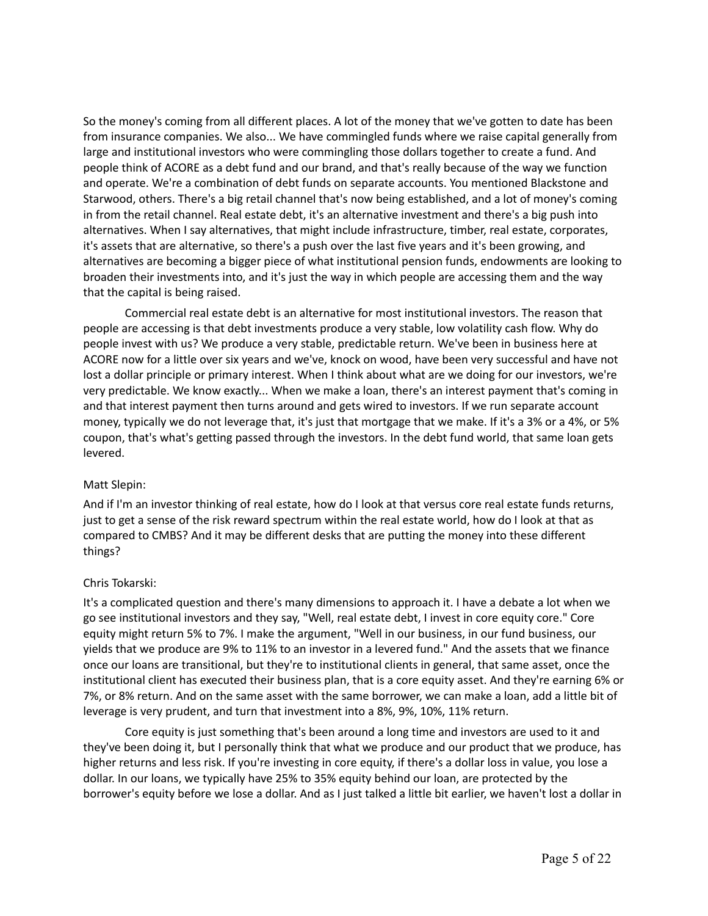So the money's coming from all different places. A lot of the money that we've gotten to date has been from insurance companies. We also... We have commingled funds where we raise capital generally from large and institutional investors who were commingling those dollars together to create a fund. And people think of ACORE as a debt fund and our brand, and that's really because of the way we function and operate. We're a combination of debt funds on separate accounts. You mentioned Blackstone and Starwood, others. There's a big retail channel that's now being established, and a lot of money's coming in from the retail channel. Real estate debt, it's an alternative investment and there's a big push into alternatives. When I say alternatives, that might include infrastructure, timber, real estate, corporates, it's assets that are alternative, so there's a push over the last five years and it's been growing, and alternatives are becoming a bigger piece of what institutional pension funds, endowments are looking to broaden their investments into, and it's just the way in which people are accessing them and the way that the capital is being raised.

Commercial real estate debt is an alternative for most institutional investors. The reason that people are accessing is that debt investments produce a very stable, low volatility cash flow. Why do people invest with us? We produce a very stable, predictable return. We've been in business here at ACORE now for a little over six years and we've, knock on wood, have been very successful and have not lost a dollar principle or primary interest. When I think about what are we doing for our investors, we're very predictable. We know exactly... When we make a loan, there's an interest payment that's coming in and that interest payment then turns around and gets wired to investors. If we run separate account money, typically we do not leverage that, it's just that mortgage that we make. If it's a 3% or a 4%, or 5% coupon, that's what's getting passed through the investors. In the debt fund world, that same loan gets levered.

## Matt Slepin:

And if I'm an investor thinking of real estate, how do I look at that versus core real estate funds returns, just to get a sense of the risk reward spectrum within the real estate world, how do I look at that as compared to CMBS? And it may be different desks that are putting the money into these different things?

# Chris Tokarski:

It's a complicated question and there's many dimensions to approach it. I have a debate a lot when we go see institutional investors and they say, "Well, real estate debt, I invest in core equity core." Core equity might return 5% to 7%. I make the argument, "Well in our business, in our fund business, our yields that we produce are 9% to 11% to an investor in a levered fund." And the assets that we finance once our loans are transitional, but they're to institutional clients in general, that same asset, once the institutional client has executed their business plan, that is a core equity asset. And they're earning 6% or 7%, or 8% return. And on the same asset with the same borrower, we can make a loan, add a little bit of leverage is very prudent, and turn that investment into a 8%, 9%, 10%, 11% return.

Core equity is just something that's been around a long time and investors are used to it and they've been doing it, but I personally think that what we produce and our product that we produce, has higher returns and less risk. If you're investing in core equity, if there's a dollar loss in value, you lose a dollar. In our loans, we typically have 25% to 35% equity behind our loan, are protected by the borrower's equity before we lose a dollar. And as I just talked a little bit earlier, we haven't lost a dollar in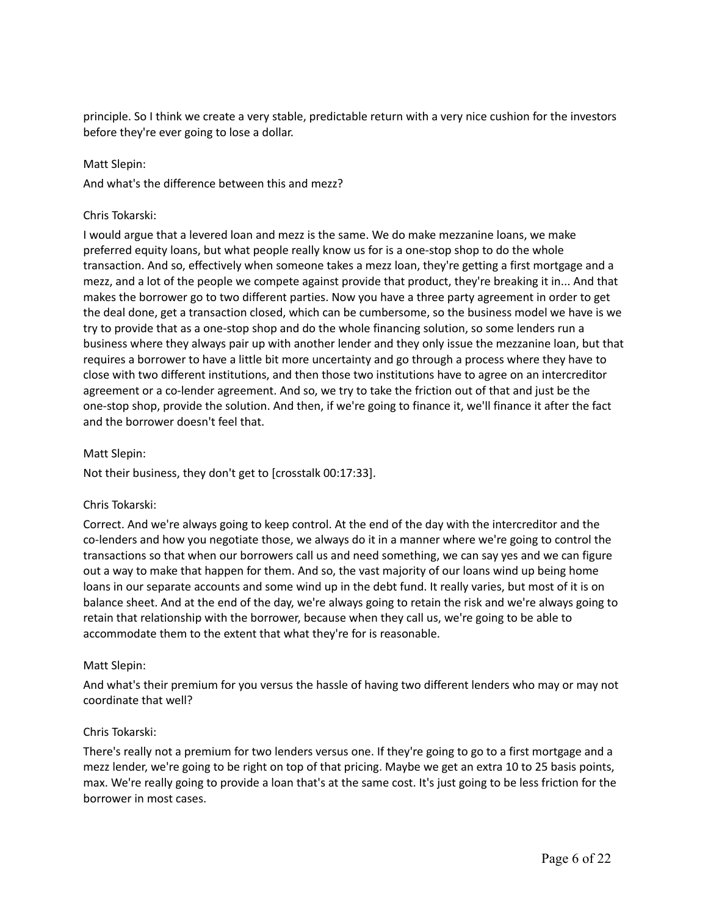principle. So I think we create a very stable, predictable return with a very nice cushion for the investors before they're ever going to lose a dollar.

#### Matt Slepin:

And what's the difference between this and mezz?

#### Chris Tokarski:

I would argue that a levered loan and mezz is the same. We do make mezzanine loans, we make preferred equity loans, but what people really know us for is a one-stop shop to do the whole transaction. And so, effectively when someone takes a mezz loan, they're getting a first mortgage and a mezz, and a lot of the people we compete against provide that product, they're breaking it in... And that makes the borrower go to two different parties. Now you have a three party agreement in order to get the deal done, get a transaction closed, which can be cumbersome, so the business model we have is we try to provide that as a one-stop shop and do the whole financing solution, so some lenders run a business where they always pair up with another lender and they only issue the mezzanine loan, but that requires a borrower to have a little bit more uncertainty and go through a process where they have to close with two different institutions, and then those two institutions have to agree on an intercreditor agreement or a co-lender agreement. And so, we try to take the friction out of that and just be the one-stop shop, provide the solution. And then, if we're going to finance it, we'll finance it after the fact and the borrower doesn't feel that.

#### Matt Slepin:

Not their business, they don't get to [crosstalk 00:17:33].

## Chris Tokarski:

Correct. And we're always going to keep control. At the end of the day with the intercreditor and the co-lenders and how you negotiate those, we always do it in a manner where we're going to control the transactions so that when our borrowers call us and need something, we can say yes and we can figure out a way to make that happen for them. And so, the vast majority of our loans wind up being home loans in our separate accounts and some wind up in the debt fund. It really varies, but most of it is on balance sheet. And at the end of the day, we're always going to retain the risk and we're always going to retain that relationship with the borrower, because when they call us, we're going to be able to accommodate them to the extent that what they're for is reasonable.

## Matt Slepin:

And what's their premium for you versus the hassle of having two different lenders who may or may not coordinate that well?

## Chris Tokarski:

There's really not a premium for two lenders versus one. If they're going to go to a first mortgage and a mezz lender, we're going to be right on top of that pricing. Maybe we get an extra 10 to 25 basis points, max. We're really going to provide a loan that's at the same cost. It's just going to be less friction for the borrower in most cases.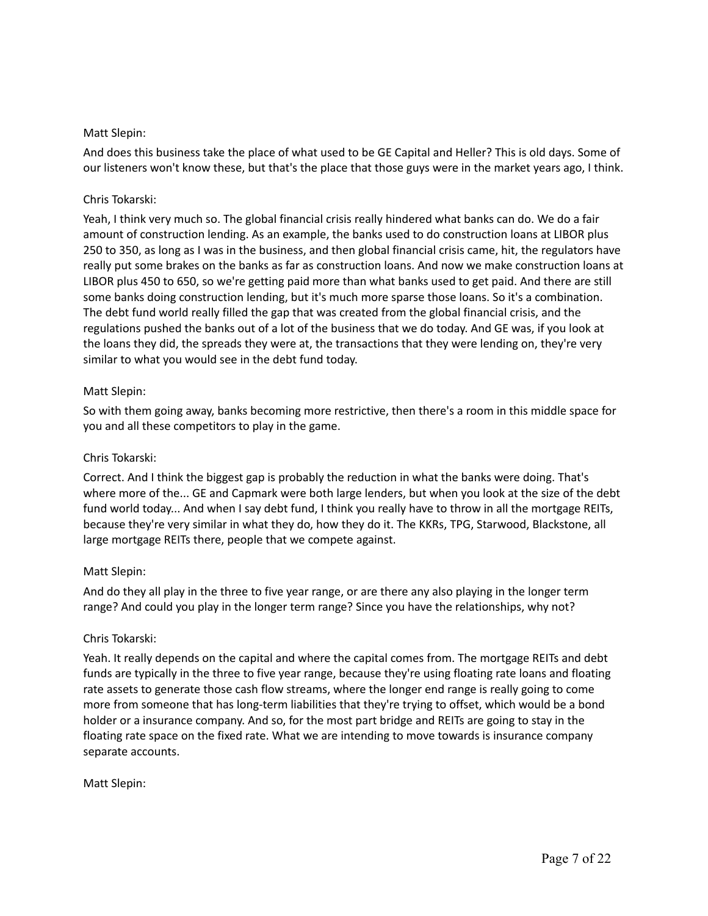## Matt Slepin:

And does this business take the place of what used to be GE Capital and Heller? This is old days. Some of our listeners won't know these, but that's the place that those guys were in the market years ago, I think.

# Chris Tokarski:

Yeah, I think very much so. The global financial crisis really hindered what banks can do. We do a fair amount of construction lending. As an example, the banks used to do construction loans at LIBOR plus 250 to 350, as long as I was in the business, and then global financial crisis came, hit, the regulators have really put some brakes on the banks as far as construction loans. And now we make construction loans at LIBOR plus 450 to 650, so we're getting paid more than what banks used to get paid. And there are still some banks doing construction lending, but it's much more sparse those loans. So it's a combination. The debt fund world really filled the gap that was created from the global financial crisis, and the regulations pushed the banks out of a lot of the business that we do today. And GE was, if you look at the loans they did, the spreads they were at, the transactions that they were lending on, they're very similar to what you would see in the debt fund today.

# Matt Slepin:

So with them going away, banks becoming more restrictive, then there's a room in this middle space for you and all these competitors to play in the game.

# Chris Tokarski:

Correct. And I think the biggest gap is probably the reduction in what the banks were doing. That's where more of the... GE and Capmark were both large lenders, but when you look at the size of the debt fund world today... And when I say debt fund, I think you really have to throw in all the mortgage REITs, because they're very similar in what they do, how they do it. The KKRs, TPG, Starwood, Blackstone, all large mortgage REITs there, people that we compete against.

## Matt Slepin:

And do they all play in the three to five year range, or are there any also playing in the longer term range? And could you play in the longer term range? Since you have the relationships, why not?

## Chris Tokarski:

Yeah. It really depends on the capital and where the capital comes from. The mortgage REITs and debt funds are typically in the three to five year range, because they're using floating rate loans and floating rate assets to generate those cash flow streams, where the longer end range is really going to come more from someone that has long-term liabilities that they're trying to offset, which would be a bond holder or a insurance company. And so, for the most part bridge and REITs are going to stay in the floating rate space on the fixed rate. What we are intending to move towards is insurance company separate accounts.

Matt Slepin: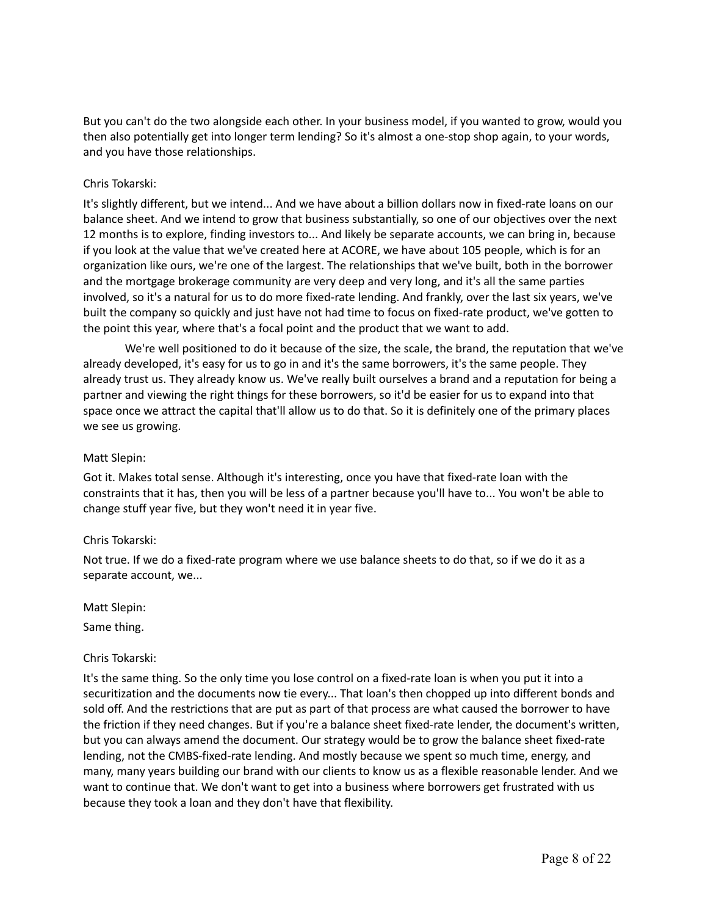But you can't do the two alongside each other. In your business model, if you wanted to grow, would you then also potentially get into longer term lending? So it's almost a one-stop shop again, to your words, and you have those relationships.

## Chris Tokarski:

It's slightly different, but we intend... And we have about a billion dollars now in fixed-rate loans on our balance sheet. And we intend to grow that business substantially, so one of our objectives over the next 12 months is to explore, finding investors to... And likely be separate accounts, we can bring in, because if you look at the value that we've created here at ACORE, we have about 105 people, which is for an organization like ours, we're one of the largest. The relationships that we've built, both in the borrower and the mortgage brokerage community are very deep and very long, and it's all the same parties involved, so it's a natural for us to do more fixed-rate lending. And frankly, over the last six years, we've built the company so quickly and just have not had time to focus on fixed-rate product, we've gotten to the point this year, where that's a focal point and the product that we want to add.

We're well positioned to do it because of the size, the scale, the brand, the reputation that we've already developed, it's easy for us to go in and it's the same borrowers, it's the same people. They already trust us. They already know us. We've really built ourselves a brand and a reputation for being a partner and viewing the right things for these borrowers, so it'd be easier for us to expand into that space once we attract the capital that'll allow us to do that. So it is definitely one of the primary places we see us growing.

## Matt Slepin:

Got it. Makes total sense. Although it's interesting, once you have that fixed-rate loan with the constraints that it has, then you will be less of a partner because you'll have to... You won't be able to change stuff year five, but they won't need it in year five.

## Chris Tokarski:

Not true. If we do a fixed-rate program where we use balance sheets to do that, so if we do it as a separate account, we...

Matt Slepin:

Same thing.

# Chris Tokarski:

It's the same thing. So the only time you lose control on a fixed-rate loan is when you put it into a securitization and the documents now tie every... That loan's then chopped up into different bonds and sold off. And the restrictions that are put as part of that process are what caused the borrower to have the friction if they need changes. But if you're a balance sheet fixed-rate lender, the document's written, but you can always amend the document. Our strategy would be to grow the balance sheet fixed-rate lending, not the CMBS-fixed-rate lending. And mostly because we spent so much time, energy, and many, many years building our brand with our clients to know us as a flexible reasonable lender. And we want to continue that. We don't want to get into a business where borrowers get frustrated with us because they took a loan and they don't have that flexibility.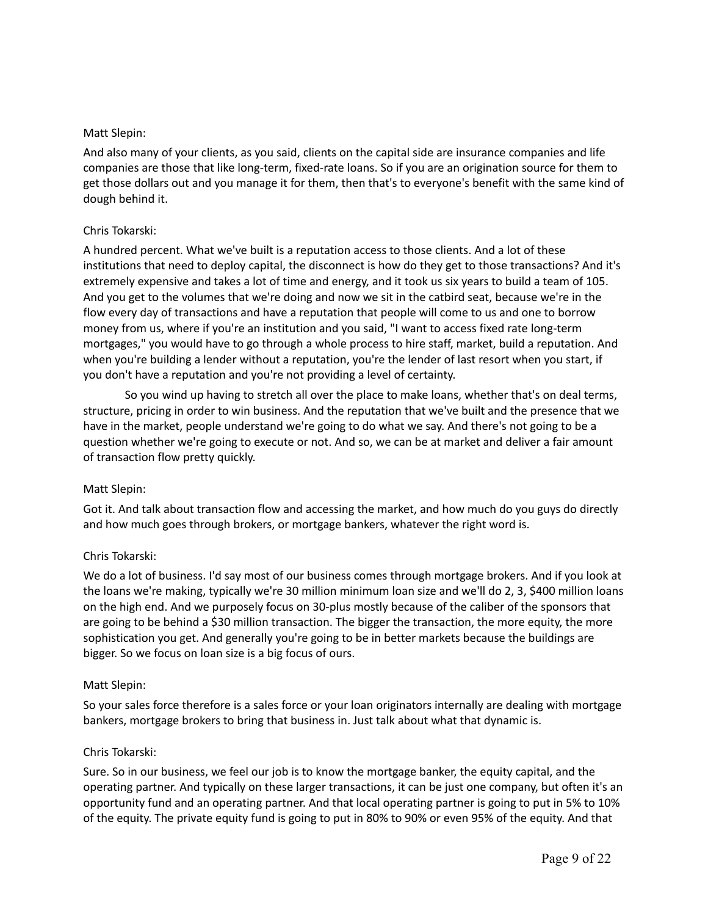## Matt Slepin:

And also many of your clients, as you said, clients on the capital side are insurance companies and life companies are those that like long-term, fixed-rate loans. So if you are an origination source for them to get those dollars out and you manage it for them, then that's to everyone's benefit with the same kind of dough behind it.

#### Chris Tokarski:

A hundred percent. What we've built is a reputation access to those clients. And a lot of these institutions that need to deploy capital, the disconnect is how do they get to those transactions? And it's extremely expensive and takes a lot of time and energy, and it took us six years to build a team of 105. And you get to the volumes that we're doing and now we sit in the catbird seat, because we're in the flow every day of transactions and have a reputation that people will come to us and one to borrow money from us, where if you're an institution and you said, "I want to access fixed rate long-term mortgages," you would have to go through a whole process to hire staff, market, build a reputation. And when you're building a lender without a reputation, you're the lender of last resort when you start, if you don't have a reputation and you're not providing a level of certainty.

So you wind up having to stretch all over the place to make loans, whether that's on deal terms, structure, pricing in order to win business. And the reputation that we've built and the presence that we have in the market, people understand we're going to do what we say. And there's not going to be a question whether we're going to execute or not. And so, we can be at market and deliver a fair amount of transaction flow pretty quickly.

#### Matt Slepin:

Got it. And talk about transaction flow and accessing the market, and how much do you guys do directly and how much goes through brokers, or mortgage bankers, whatever the right word is.

## Chris Tokarski:

We do a lot of business. I'd say most of our business comes through mortgage brokers. And if you look at the loans we're making, typically we're 30 million minimum loan size and we'll do 2, 3, \$400 million loans on the high end. And we purposely focus on 30-plus mostly because of the caliber of the sponsors that are going to be behind a \$30 million transaction. The bigger the transaction, the more equity, the more sophistication you get. And generally you're going to be in better markets because the buildings are bigger. So we focus on loan size is a big focus of ours.

#### Matt Slepin:

So your sales force therefore is a sales force or your loan originators internally are dealing with mortgage bankers, mortgage brokers to bring that business in. Just talk about what that dynamic is.

#### Chris Tokarski:

Sure. So in our business, we feel our job is to know the mortgage banker, the equity capital, and the operating partner. And typically on these larger transactions, it can be just one company, but often it's an opportunity fund and an operating partner. And that local operating partner is going to put in 5% to 10% of the equity. The private equity fund is going to put in 80% to 90% or even 95% of the equity. And that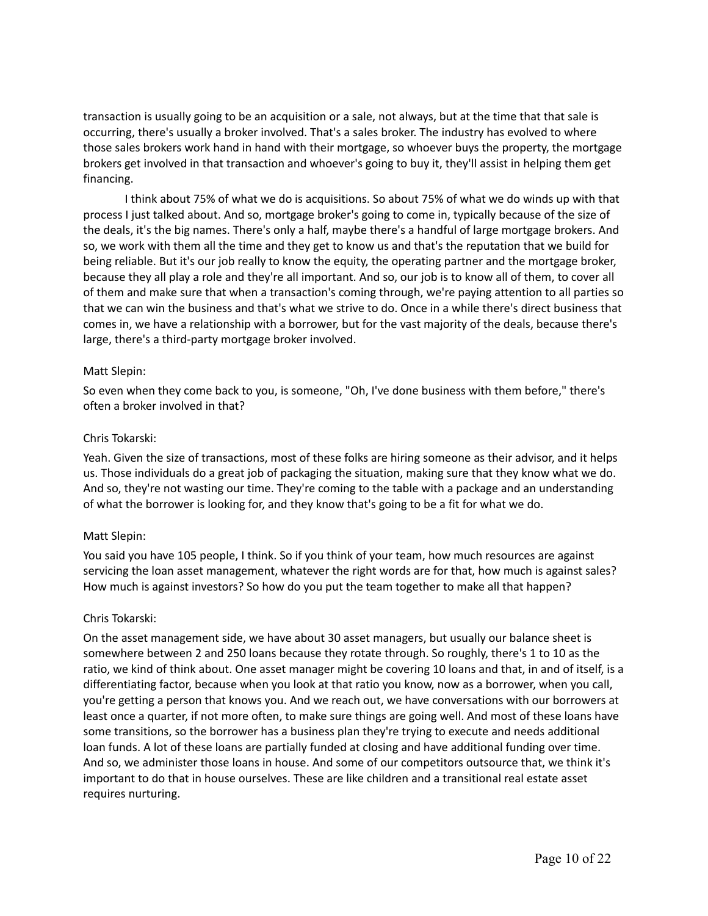transaction is usually going to be an acquisition or a sale, not always, but at the time that that sale is occurring, there's usually a broker involved. That's a sales broker. The industry has evolved to where those sales brokers work hand in hand with their mortgage, so whoever buys the property, the mortgage brokers get involved in that transaction and whoever's going to buy it, they'll assist in helping them get financing.

I think about 75% of what we do is acquisitions. So about 75% of what we do winds up with that process I just talked about. And so, mortgage broker's going to come in, typically because of the size of the deals, it's the big names. There's only a half, maybe there's a handful of large mortgage brokers. And so, we work with them all the time and they get to know us and that's the reputation that we build for being reliable. But it's our job really to know the equity, the operating partner and the mortgage broker, because they all play a role and they're all important. And so, our job is to know all of them, to cover all of them and make sure that when a transaction's coming through, we're paying attention to all parties so that we can win the business and that's what we strive to do. Once in a while there's direct business that comes in, we have a relationship with a borrower, but for the vast majority of the deals, because there's large, there's a third-party mortgage broker involved.

#### Matt Slepin:

So even when they come back to you, is someone, "Oh, I've done business with them before," there's often a broker involved in that?

#### Chris Tokarski:

Yeah. Given the size of transactions, most of these folks are hiring someone as their advisor, and it helps us. Those individuals do a great job of packaging the situation, making sure that they know what we do. And so, they're not wasting our time. They're coming to the table with a package and an understanding of what the borrower is looking for, and they know that's going to be a fit for what we do.

## Matt Slepin:

You said you have 105 people, I think. So if you think of your team, how much resources are against servicing the loan asset management, whatever the right words are for that, how much is against sales? How much is against investors? So how do you put the team together to make all that happen?

## Chris Tokarski:

On the asset management side, we have about 30 asset managers, but usually our balance sheet is somewhere between 2 and 250 loans because they rotate through. So roughly, there's 1 to 10 as the ratio, we kind of think about. One asset manager might be covering 10 loans and that, in and of itself, is a differentiating factor, because when you look at that ratio you know, now as a borrower, when you call, you're getting a person that knows you. And we reach out, we have conversations with our borrowers at least once a quarter, if not more often, to make sure things are going well. And most of these loans have some transitions, so the borrower has a business plan they're trying to execute and needs additional loan funds. A lot of these loans are partially funded at closing and have additional funding over time. And so, we administer those loans in house. And some of our competitors outsource that, we think it's important to do that in house ourselves. These are like children and a transitional real estate asset requires nurturing.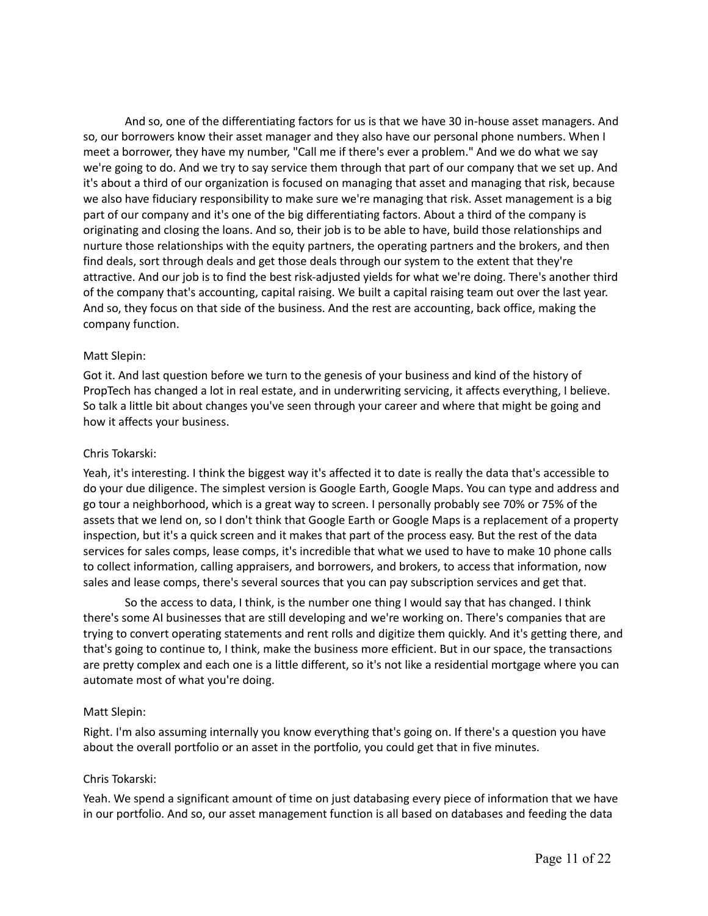And so, one of the differentiating factors for us is that we have 30 in-house asset managers. And so, our borrowers know their asset manager and they also have our personal phone numbers. When I meet a borrower, they have my number, "Call me if there's ever a problem." And we do what we say we're going to do. And we try to say service them through that part of our company that we set up. And it's about a third of our organization is focused on managing that asset and managing that risk, because we also have fiduciary responsibility to make sure we're managing that risk. Asset management is a big part of our company and it's one of the big differentiating factors. About a third of the company is originating and closing the loans. And so, their job is to be able to have, build those relationships and nurture those relationships with the equity partners, the operating partners and the brokers, and then find deals, sort through deals and get those deals through our system to the extent that they're attractive. And our job is to find the best risk-adjusted yields for what we're doing. There's another third of the company that's accounting, capital raising. We built a capital raising team out over the last year. And so, they focus on that side of the business. And the rest are accounting, back office, making the company function.

## Matt Slepin:

Got it. And last question before we turn to the genesis of your business and kind of the history of PropTech has changed a lot in real estate, and in underwriting servicing, it affects everything, I believe. So talk a little bit about changes you've seen through your career and where that might be going and how it affects your business.

#### Chris Tokarski:

Yeah, it's interesting. I think the biggest way it's affected it to date is really the data that's accessible to do your due diligence. The simplest version is Google Earth, Google Maps. You can type and address and go tour a neighborhood, which is a great way to screen. I personally probably see 70% or 75% of the assets that we lend on, so I don't think that Google Earth or Google Maps is a replacement of a property inspection, but it's a quick screen and it makes that part of the process easy. But the rest of the data services for sales comps, lease comps, it's incredible that what we used to have to make 10 phone calls to collect information, calling appraisers, and borrowers, and brokers, to access that information, now sales and lease comps, there's several sources that you can pay subscription services and get that.

So the access to data, I think, is the number one thing I would say that has changed. I think there's some AI businesses that are still developing and we're working on. There's companies that are trying to convert operating statements and rent rolls and digitize them quickly. And it's getting there, and that's going to continue to, I think, make the business more efficient. But in our space, the transactions are pretty complex and each one is a little different, so it's not like a residential mortgage where you can automate most of what you're doing.

## Matt Slepin:

Right. I'm also assuming internally you know everything that's going on. If there's a question you have about the overall portfolio or an asset in the portfolio, you could get that in five minutes.

#### Chris Tokarski:

Yeah. We spend a significant amount of time on just databasing every piece of information that we have in our portfolio. And so, our asset management function is all based on databases and feeding the data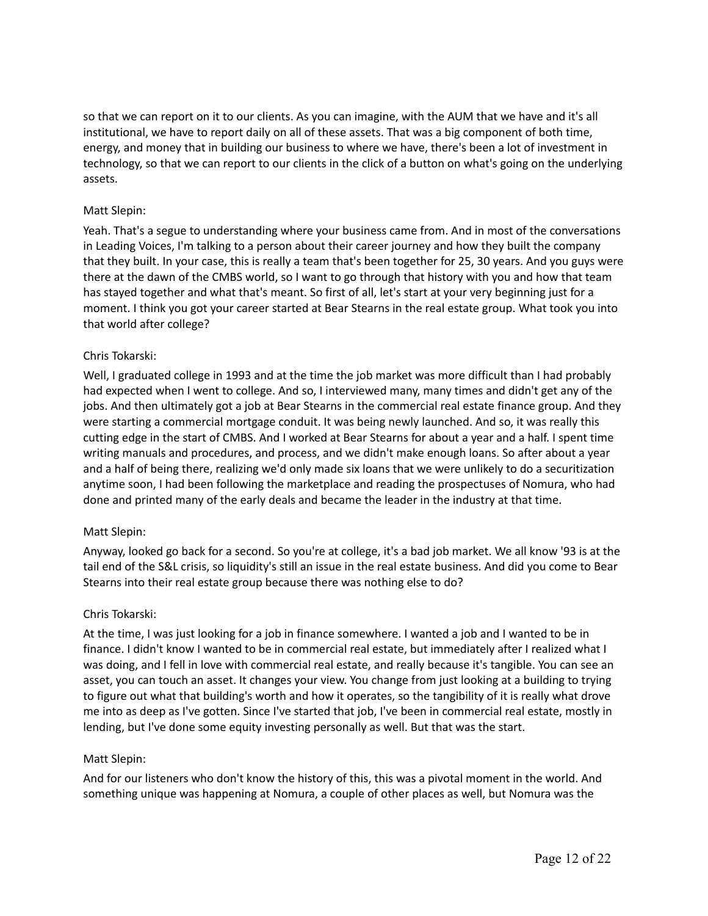so that we can report on it to our clients. As you can imagine, with the AUM that we have and it's all institutional, we have to report daily on all of these assets. That was a big component of both time, energy, and money that in building our business to where we have, there's been a lot of investment in technology, so that we can report to our clients in the click of a button on what's going on the underlying assets.

## Matt Slepin:

Yeah. That's a segue to understanding where your business came from. And in most of the conversations in Leading Voices, I'm talking to a person about their career journey and how they built the company that they built. In your case, this is really a team that's been together for 25, 30 years. And you guys were there at the dawn of the CMBS world, so I want to go through that history with you and how that team has stayed together and what that's meant. So first of all, let's start at your very beginning just for a moment. I think you got your career started at Bear Stearns in the real estate group. What took you into that world after college?

# Chris Tokarski:

Well, I graduated college in 1993 and at the time the job market was more difficult than I had probably had expected when I went to college. And so, I interviewed many, many times and didn't get any of the jobs. And then ultimately got a job at Bear Stearns in the commercial real estate finance group. And they were starting a commercial mortgage conduit. It was being newly launched. And so, it was really this cutting edge in the start of CMBS. And I worked at Bear Stearns for about a year and a half. I spent time writing manuals and procedures, and process, and we didn't make enough loans. So after about a year and a half of being there, realizing we'd only made six loans that we were unlikely to do a securitization anytime soon, I had been following the marketplace and reading the prospectuses of Nomura, who had done and printed many of the early deals and became the leader in the industry at that time.

## Matt Slepin:

Anyway, looked go back for a second. So you're at college, it's a bad job market. We all know '93 is at the tail end of the S&L crisis, so liquidity's still an issue in the real estate business. And did you come to Bear Stearns into their real estate group because there was nothing else to do?

## Chris Tokarski:

At the time, I was just looking for a job in finance somewhere. I wanted a job and I wanted to be in finance. I didn't know I wanted to be in commercial real estate, but immediately after I realized what I was doing, and I fell in love with commercial real estate, and really because it's tangible. You can see an asset, you can touch an asset. It changes your view. You change from just looking at a building to trying to figure out what that building's worth and how it operates, so the tangibility of it is really what drove me into as deep as I've gotten. Since I've started that job, I've been in commercial real estate, mostly in lending, but I've done some equity investing personally as well. But that was the start.

## Matt Slepin:

And for our listeners who don't know the history of this, this was a pivotal moment in the world. And something unique was happening at Nomura, a couple of other places as well, but Nomura was the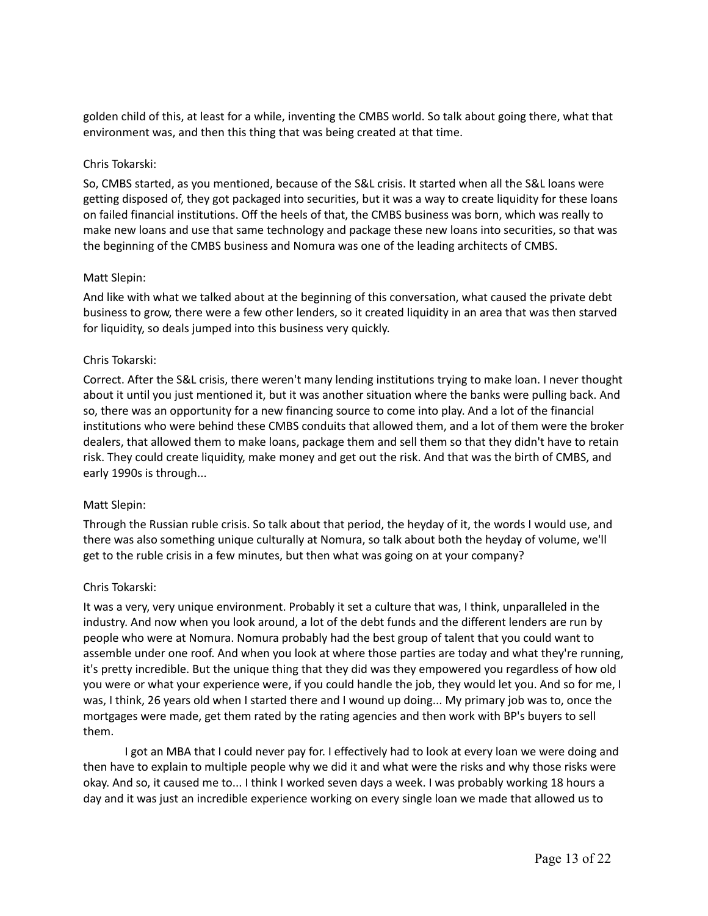golden child of this, at least for a while, inventing the CMBS world. So talk about going there, what that environment was, and then this thing that was being created at that time.

#### Chris Tokarski:

So, CMBS started, as you mentioned, because of the S&L crisis. It started when all the S&L loans were getting disposed of, they got packaged into securities, but it was a way to create liquidity for these loans on failed financial institutions. Off the heels of that, the CMBS business was born, which was really to make new loans and use that same technology and package these new loans into securities, so that was the beginning of the CMBS business and Nomura was one of the leading architects of CMBS.

#### Matt Slepin:

And like with what we talked about at the beginning of this conversation, what caused the private debt business to grow, there were a few other lenders, so it created liquidity in an area that was then starved for liquidity, so deals jumped into this business very quickly.

#### Chris Tokarski:

Correct. After the S&L crisis, there weren't many lending institutions trying to make loan. I never thought about it until you just mentioned it, but it was another situation where the banks were pulling back. And so, there was an opportunity for a new financing source to come into play. And a lot of the financial institutions who were behind these CMBS conduits that allowed them, and a lot of them were the broker dealers, that allowed them to make loans, package them and sell them so that they didn't have to retain risk. They could create liquidity, make money and get out the risk. And that was the birth of CMBS, and early 1990s is through...

## Matt Slepin:

Through the Russian ruble crisis. So talk about that period, the heyday of it, the words I would use, and there was also something unique culturally at Nomura, so talk about both the heyday of volume, we'll get to the ruble crisis in a few minutes, but then what was going on at your company?

#### Chris Tokarski:

It was a very, very unique environment. Probably it set a culture that was, I think, unparalleled in the industry. And now when you look around, a lot of the debt funds and the different lenders are run by people who were at Nomura. Nomura probably had the best group of talent that you could want to assemble under one roof. And when you look at where those parties are today and what they're running, it's pretty incredible. But the unique thing that they did was they empowered you regardless of how old you were or what your experience were, if you could handle the job, they would let you. And so for me, I was, I think, 26 years old when I started there and I wound up doing... My primary job was to, once the mortgages were made, get them rated by the rating agencies and then work with BP's buyers to sell them.

I got an MBA that I could never pay for. I effectively had to look at every loan we were doing and then have to explain to multiple people why we did it and what were the risks and why those risks were okay. And so, it caused me to... I think I worked seven days a week. I was probably working 18 hours a day and it was just an incredible experience working on every single loan we made that allowed us to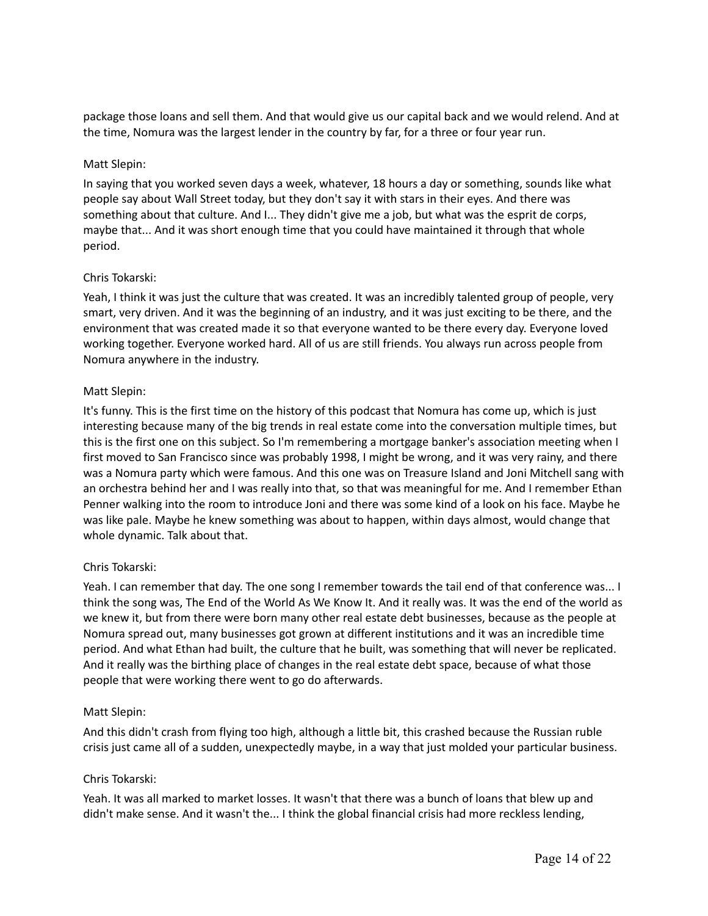package those loans and sell them. And that would give us our capital back and we would relend. And at the time, Nomura was the largest lender in the country by far, for a three or four year run.

## Matt Slepin:

In saying that you worked seven days a week, whatever, 18 hours a day or something, sounds like what people say about Wall Street today, but they don't say it with stars in their eyes. And there was something about that culture. And I... They didn't give me a job, but what was the esprit de corps, maybe that... And it was short enough time that you could have maintained it through that whole period.

#### Chris Tokarski:

Yeah, I think it was just the culture that was created. It was an incredibly talented group of people, very smart, very driven. And it was the beginning of an industry, and it was just exciting to be there, and the environment that was created made it so that everyone wanted to be there every day. Everyone loved working together. Everyone worked hard. All of us are still friends. You always run across people from Nomura anywhere in the industry.

## Matt Slepin:

It's funny. This is the first time on the history of this podcast that Nomura has come up, which is just interesting because many of the big trends in real estate come into the conversation multiple times, but this is the first one on this subject. So I'm remembering a mortgage banker's association meeting when I first moved to San Francisco since was probably 1998, I might be wrong, and it was very rainy, and there was a Nomura party which were famous. And this one was on Treasure Island and Joni Mitchell sang with an orchestra behind her and I was really into that, so that was meaningful for me. And I remember Ethan Penner walking into the room to introduce Joni and there was some kind of a look on his face. Maybe he was like pale. Maybe he knew something was about to happen, within days almost, would change that whole dynamic. Talk about that.

## Chris Tokarski:

Yeah. I can remember that day. The one song I remember towards the tail end of that conference was... I think the song was, The End of the World As We Know It. And it really was. It was the end of the world as we knew it, but from there were born many other real estate debt businesses, because as the people at Nomura spread out, many businesses got grown at different institutions and it was an incredible time period. And what Ethan had built, the culture that he built, was something that will never be replicated. And it really was the birthing place of changes in the real estate debt space, because of what those people that were working there went to go do afterwards.

## Matt Slepin:

And this didn't crash from flying too high, although a little bit, this crashed because the Russian ruble crisis just came all of a sudden, unexpectedly maybe, in a way that just molded your particular business.

#### Chris Tokarski:

Yeah. It was all marked to market losses. It wasn't that there was a bunch of loans that blew up and didn't make sense. And it wasn't the... I think the global financial crisis had more reckless lending,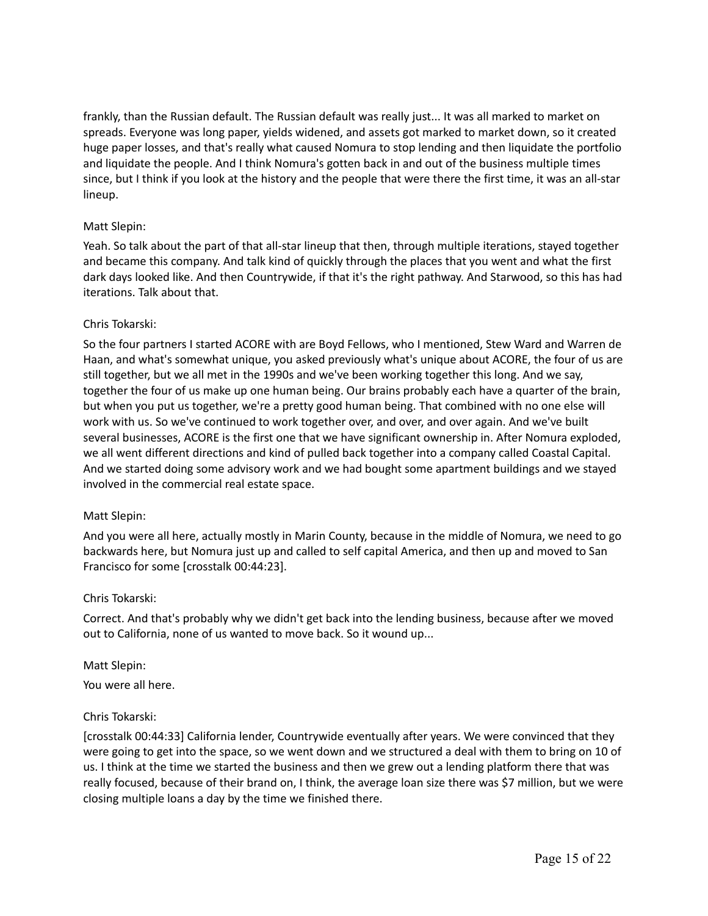frankly, than the Russian default. The Russian default was really just... It was all marked to market on spreads. Everyone was long paper, yields widened, and assets got marked to market down, so it created huge paper losses, and that's really what caused Nomura to stop lending and then liquidate the portfolio and liquidate the people. And I think Nomura's gotten back in and out of the business multiple times since, but I think if you look at the history and the people that were there the first time, it was an all-star lineup.

#### Matt Slepin:

Yeah. So talk about the part of that all-star lineup that then, through multiple iterations, stayed together and became this company. And talk kind of quickly through the places that you went and what the first dark days looked like. And then Countrywide, if that it's the right pathway. And Starwood, so this has had iterations. Talk about that.

#### Chris Tokarski:

So the four partners I started ACORE with are Boyd Fellows, who I mentioned, Stew Ward and Warren de Haan, and what's somewhat unique, you asked previously what's unique about ACORE, the four of us are still together, but we all met in the 1990s and we've been working together this long. And we say, together the four of us make up one human being. Our brains probably each have a quarter of the brain, but when you put us together, we're a pretty good human being. That combined with no one else will work with us. So we've continued to work together over, and over, and over again. And we've built several businesses, ACORE is the first one that we have significant ownership in. After Nomura exploded, we all went different directions and kind of pulled back together into a company called Coastal Capital. And we started doing some advisory work and we had bought some apartment buildings and we stayed involved in the commercial real estate space.

#### Matt Slepin:

And you were all here, actually mostly in Marin County, because in the middle of Nomura, we need to go backwards here, but Nomura just up and called to self capital America, and then up and moved to San Francisco for some [crosstalk 00:44:23].

#### Chris Tokarski:

Correct. And that's probably why we didn't get back into the lending business, because after we moved out to California, none of us wanted to move back. So it wound up...

## Matt Slepin:

You were all here.

#### Chris Tokarski:

[crosstalk 00:44:33] California lender, Countrywide eventually after years. We were convinced that they were going to get into the space, so we went down and we structured a deal with them to bring on 10 of us. I think at the time we started the business and then we grew out a lending platform there that was really focused, because of their brand on, I think, the average loan size there was \$7 million, but we were closing multiple loans a day by the time we finished there.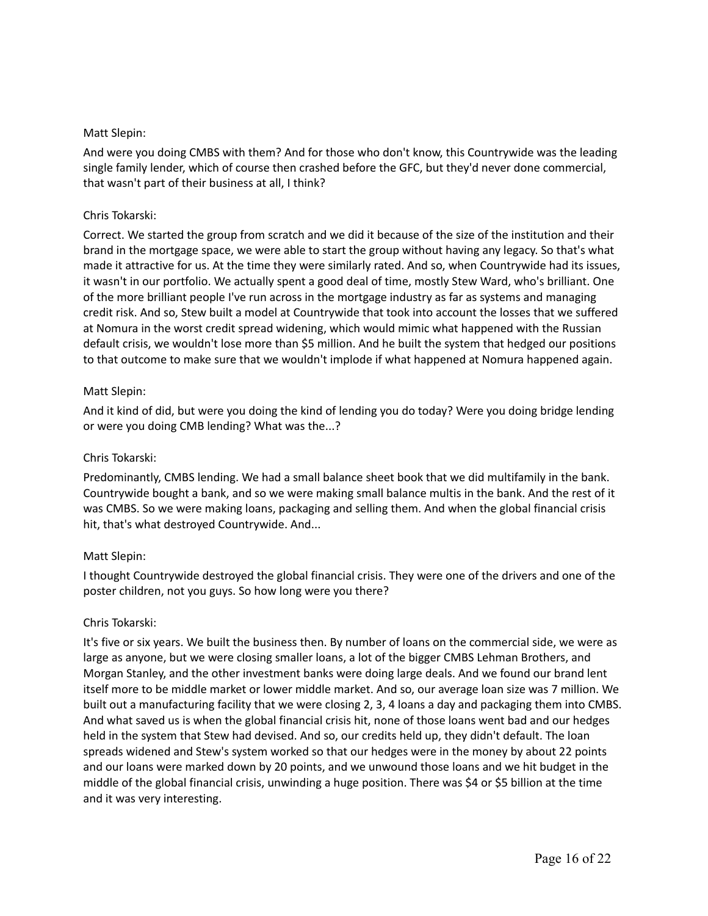## Matt Slepin:

And were you doing CMBS with them? And for those who don't know, this Countrywide was the leading single family lender, which of course then crashed before the GFC, but they'd never done commercial, that wasn't part of their business at all, I think?

## Chris Tokarski:

Correct. We started the group from scratch and we did it because of the size of the institution and their brand in the mortgage space, we were able to start the group without having any legacy. So that's what made it attractive for us. At the time they were similarly rated. And so, when Countrywide had its issues, it wasn't in our portfolio. We actually spent a good deal of time, mostly Stew Ward, who's brilliant. One of the more brilliant people I've run across in the mortgage industry as far as systems and managing credit risk. And so, Stew built a model at Countrywide that took into account the losses that we suffered at Nomura in the worst credit spread widening, which would mimic what happened with the Russian default crisis, we wouldn't lose more than \$5 million. And he built the system that hedged our positions to that outcome to make sure that we wouldn't implode if what happened at Nomura happened again.

# Matt Slepin:

And it kind of did, but were you doing the kind of lending you do today? Were you doing bridge lending or were you doing CMB lending? What was the...?

# Chris Tokarski:

Predominantly, CMBS lending. We had a small balance sheet book that we did multifamily in the bank. Countrywide bought a bank, and so we were making small balance multis in the bank. And the rest of it was CMBS. So we were making loans, packaging and selling them. And when the global financial crisis hit, that's what destroyed Countrywide. And...

# Matt Slepin:

I thought Countrywide destroyed the global financial crisis. They were one of the drivers and one of the poster children, not you guys. So how long were you there?

## Chris Tokarski:

It's five or six years. We built the business then. By number of loans on the commercial side, we were as large as anyone, but we were closing smaller loans, a lot of the bigger CMBS Lehman Brothers, and Morgan Stanley, and the other investment banks were doing large deals. And we found our brand lent itself more to be middle market or lower middle market. And so, our average loan size was 7 million. We built out a manufacturing facility that we were closing 2, 3, 4 loans a day and packaging them into CMBS. And what saved us is when the global financial crisis hit, none of those loans went bad and our hedges held in the system that Stew had devised. And so, our credits held up, they didn't default. The loan spreads widened and Stew's system worked so that our hedges were in the money by about 22 points and our loans were marked down by 20 points, and we unwound those loans and we hit budget in the middle of the global financial crisis, unwinding a huge position. There was \$4 or \$5 billion at the time and it was very interesting.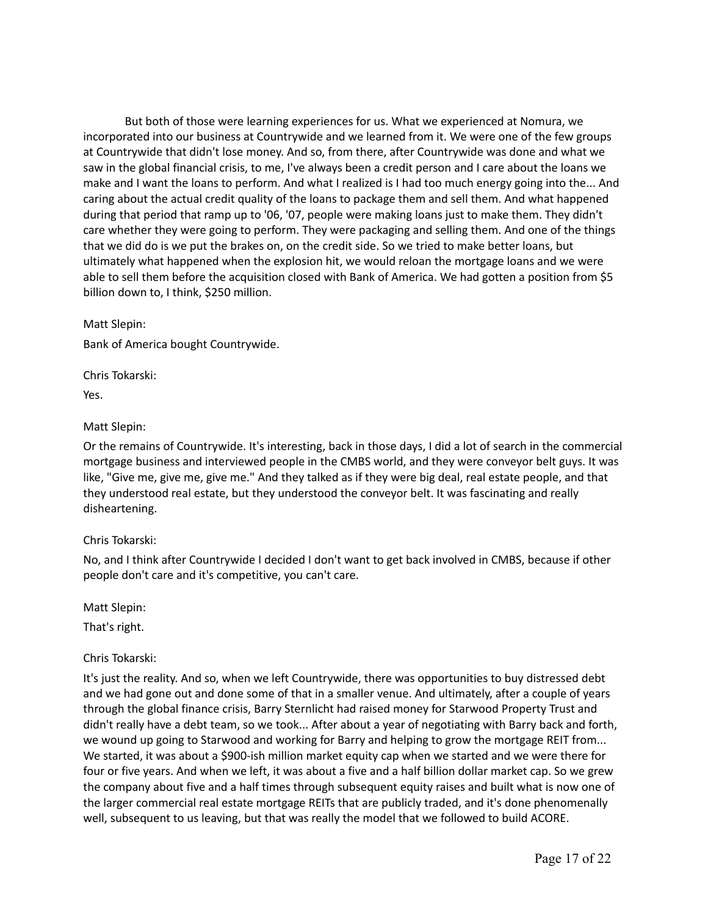But both of those were learning experiences for us. What we experienced at Nomura, we incorporated into our business at Countrywide and we learned from it. We were one of the few groups at Countrywide that didn't lose money. And so, from there, after Countrywide was done and what we saw in the global financial crisis, to me, I've always been a credit person and I care about the loans we make and I want the loans to perform. And what I realized is I had too much energy going into the... And caring about the actual credit quality of the loans to package them and sell them. And what happened during that period that ramp up to '06, '07, people were making loans just to make them. They didn't care whether they were going to perform. They were packaging and selling them. And one of the things that we did do is we put the brakes on, on the credit side. So we tried to make better loans, but ultimately what happened when the explosion hit, we would reloan the mortgage loans and we were able to sell them before the acquisition closed with Bank of America. We had gotten a position from \$5 billion down to, I think, \$250 million.

Matt Slepin: Bank of America bought Countrywide.

Chris Tokarski: Yes.

# Matt Slepin:

Or the remains of Countrywide. It's interesting, back in those days, I did a lot of search in the commercial mortgage business and interviewed people in the CMBS world, and they were conveyor belt guys. It was like, "Give me, give me, give me." And they talked as if they were big deal, real estate people, and that they understood real estate, but they understood the conveyor belt. It was fascinating and really disheartening.

# Chris Tokarski:

No, and I think after Countrywide I decided I don't want to get back involved in CMBS, because if other people don't care and it's competitive, you can't care.

Matt Slepin:

That's right.

# Chris Tokarski:

It's just the reality. And so, when we left Countrywide, there was opportunities to buy distressed debt and we had gone out and done some of that in a smaller venue. And ultimately, after a couple of years through the global finance crisis, Barry Sternlicht had raised money for Starwood Property Trust and didn't really have a debt team, so we took... After about a year of negotiating with Barry back and forth, we wound up going to Starwood and working for Barry and helping to grow the mortgage REIT from... We started, it was about a \$900-ish million market equity cap when we started and we were there for four or five years. And when we left, it was about a five and a half billion dollar market cap. So we grew the company about five and a half times through subsequent equity raises and built what is now one of the larger commercial real estate mortgage REITs that are publicly traded, and it's done phenomenally well, subsequent to us leaving, but that was really the model that we followed to build ACORE.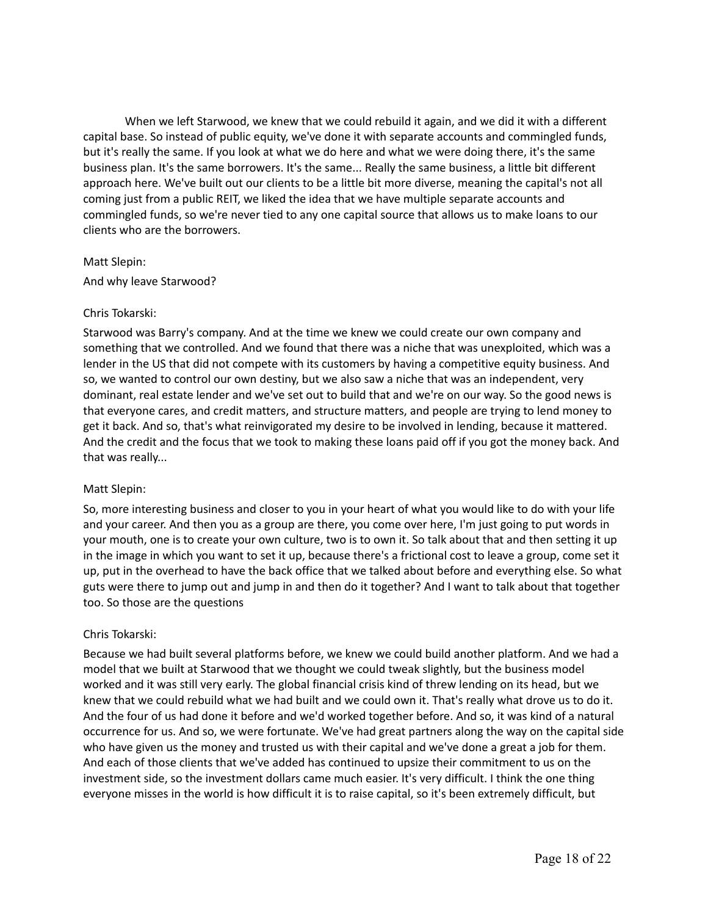When we left Starwood, we knew that we could rebuild it again, and we did it with a different capital base. So instead of public equity, we've done it with separate accounts and commingled funds, but it's really the same. If you look at what we do here and what we were doing there, it's the same business plan. It's the same borrowers. It's the same... Really the same business, a little bit different approach here. We've built out our clients to be a little bit more diverse, meaning the capital's not all coming just from a public REIT, we liked the idea that we have multiple separate accounts and commingled funds, so we're never tied to any one capital source that allows us to make loans to our clients who are the borrowers.

#### Matt Slepin:

And why leave Starwood?

## Chris Tokarski:

Starwood was Barry's company. And at the time we knew we could create our own company and something that we controlled. And we found that there was a niche that was unexploited, which was a lender in the US that did not compete with its customers by having a competitive equity business. And so, we wanted to control our own destiny, but we also saw a niche that was an independent, very dominant, real estate lender and we've set out to build that and we're on our way. So the good news is that everyone cares, and credit matters, and structure matters, and people are trying to lend money to get it back. And so, that's what reinvigorated my desire to be involved in lending, because it mattered. And the credit and the focus that we took to making these loans paid off if you got the money back. And that was really...

## Matt Slepin:

So, more interesting business and closer to you in your heart of what you would like to do with your life and your career. And then you as a group are there, you come over here, I'm just going to put words in your mouth, one is to create your own culture, two is to own it. So talk about that and then setting it up in the image in which you want to set it up, because there's a frictional cost to leave a group, come set it up, put in the overhead to have the back office that we talked about before and everything else. So what guts were there to jump out and jump in and then do it together? And I want to talk about that together too. So those are the questions

## Chris Tokarski:

Because we had built several platforms before, we knew we could build another platform. And we had a model that we built at Starwood that we thought we could tweak slightly, but the business model worked and it was still very early. The global financial crisis kind of threw lending on its head, but we knew that we could rebuild what we had built and we could own it. That's really what drove us to do it. And the four of us had done it before and we'd worked together before. And so, it was kind of a natural occurrence for us. And so, we were fortunate. We've had great partners along the way on the capital side who have given us the money and trusted us with their capital and we've done a great a job for them. And each of those clients that we've added has continued to upsize their commitment to us on the investment side, so the investment dollars came much easier. It's very difficult. I think the one thing everyone misses in the world is how difficult it is to raise capital, so it's been extremely difficult, but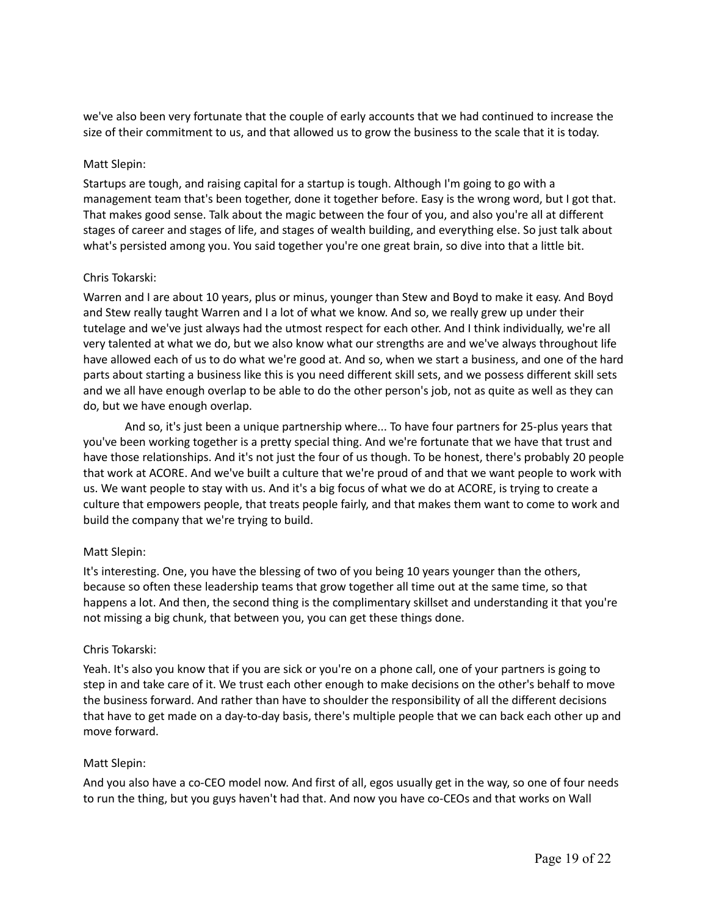we've also been very fortunate that the couple of early accounts that we had continued to increase the size of their commitment to us, and that allowed us to grow the business to the scale that it is today.

#### Matt Slepin:

Startups are tough, and raising capital for a startup is tough. Although I'm going to go with a management team that's been together, done it together before. Easy is the wrong word, but I got that. That makes good sense. Talk about the magic between the four of you, and also you're all at different stages of career and stages of life, and stages of wealth building, and everything else. So just talk about what's persisted among you. You said together you're one great brain, so dive into that a little bit.

#### Chris Tokarski:

Warren and I are about 10 years, plus or minus, younger than Stew and Boyd to make it easy. And Boyd and Stew really taught Warren and I a lot of what we know. And so, we really grew up under their tutelage and we've just always had the utmost respect for each other. And I think individually, we're all very talented at what we do, but we also know what our strengths are and we've always throughout life have allowed each of us to do what we're good at. And so, when we start a business, and one of the hard parts about starting a business like this is you need different skill sets, and we possess different skill sets and we all have enough overlap to be able to do the other person's job, not as quite as well as they can do, but we have enough overlap.

And so, it's just been a unique partnership where... To have four partners for 25-plus years that you've been working together is a pretty special thing. And we're fortunate that we have that trust and have those relationships. And it's not just the four of us though. To be honest, there's probably 20 people that work at ACORE. And we've built a culture that we're proud of and that we want people to work with us. We want people to stay with us. And it's a big focus of what we do at ACORE, is trying to create a culture that empowers people, that treats people fairly, and that makes them want to come to work and build the company that we're trying to build.

## Matt Slepin:

It's interesting. One, you have the blessing of two of you being 10 years younger than the others, because so often these leadership teams that grow together all time out at the same time, so that happens a lot. And then, the second thing is the complimentary skillset and understanding it that you're not missing a big chunk, that between you, you can get these things done.

## Chris Tokarski:

Yeah. It's also you know that if you are sick or you're on a phone call, one of your partners is going to step in and take care of it. We trust each other enough to make decisions on the other's behalf to move the business forward. And rather than have to shoulder the responsibility of all the different decisions that have to get made on a day-to-day basis, there's multiple people that we can back each other up and move forward.

## Matt Slepin:

And you also have a co-CEO model now. And first of all, egos usually get in the way, so one of four needs to run the thing, but you guys haven't had that. And now you have co-CEOs and that works on Wall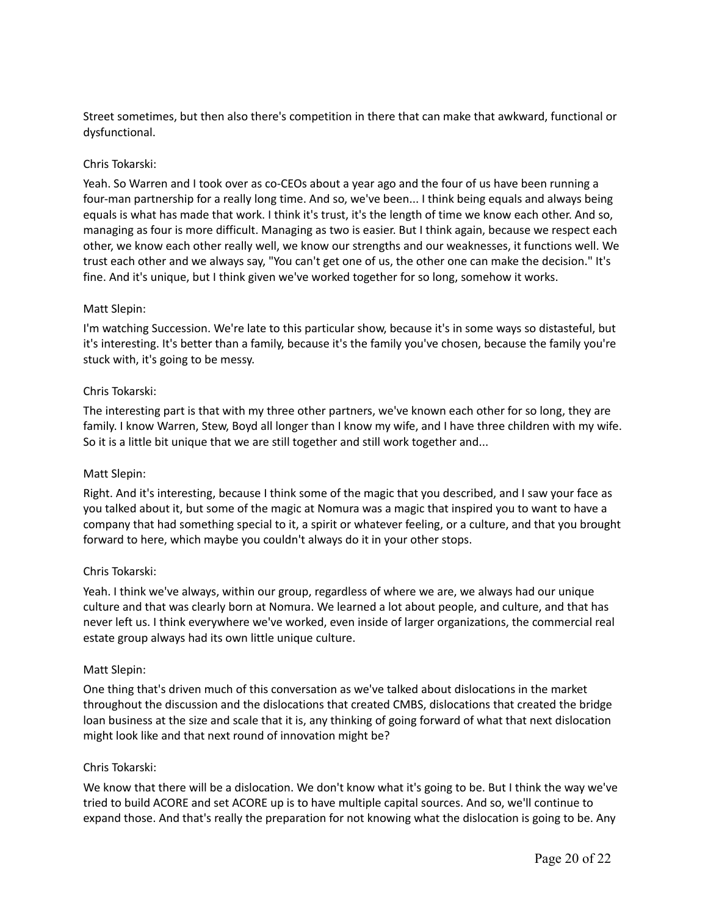Street sometimes, but then also there's competition in there that can make that awkward, functional or dysfunctional.

## Chris Tokarski:

Yeah. So Warren and I took over as co-CEOs about a year ago and the four of us have been running a four-man partnership for a really long time. And so, we've been... I think being equals and always being equals is what has made that work. I think it's trust, it's the length of time we know each other. And so, managing as four is more difficult. Managing as two is easier. But I think again, because we respect each other, we know each other really well, we know our strengths and our weaknesses, it functions well. We trust each other and we always say, "You can't get one of us, the other one can make the decision." It's fine. And it's unique, but I think given we've worked together for so long, somehow it works.

#### Matt Slepin:

I'm watching Succession. We're late to this particular show, because it's in some ways so distasteful, but it's interesting. It's better than a family, because it's the family you've chosen, because the family you're stuck with, it's going to be messy.

#### Chris Tokarski:

The interesting part is that with my three other partners, we've known each other for so long, they are family. I know Warren, Stew, Boyd all longer than I know my wife, and I have three children with my wife. So it is a little bit unique that we are still together and still work together and...

#### Matt Slepin:

Right. And it's interesting, because I think some of the magic that you described, and I saw your face as you talked about it, but some of the magic at Nomura was a magic that inspired you to want to have a company that had something special to it, a spirit or whatever feeling, or a culture, and that you brought forward to here, which maybe you couldn't always do it in your other stops.

#### Chris Tokarski:

Yeah. I think we've always, within our group, regardless of where we are, we always had our unique culture and that was clearly born at Nomura. We learned a lot about people, and culture, and that has never left us. I think everywhere we've worked, even inside of larger organizations, the commercial real estate group always had its own little unique culture.

#### Matt Slepin:

One thing that's driven much of this conversation as we've talked about dislocations in the market throughout the discussion and the dislocations that created CMBS, dislocations that created the bridge loan business at the size and scale that it is, any thinking of going forward of what that next dislocation might look like and that next round of innovation might be?

#### Chris Tokarski:

We know that there will be a dislocation. We don't know what it's going to be. But I think the way we've tried to build ACORE and set ACORE up is to have multiple capital sources. And so, we'll continue to expand those. And that's really the preparation for not knowing what the dislocation is going to be. Any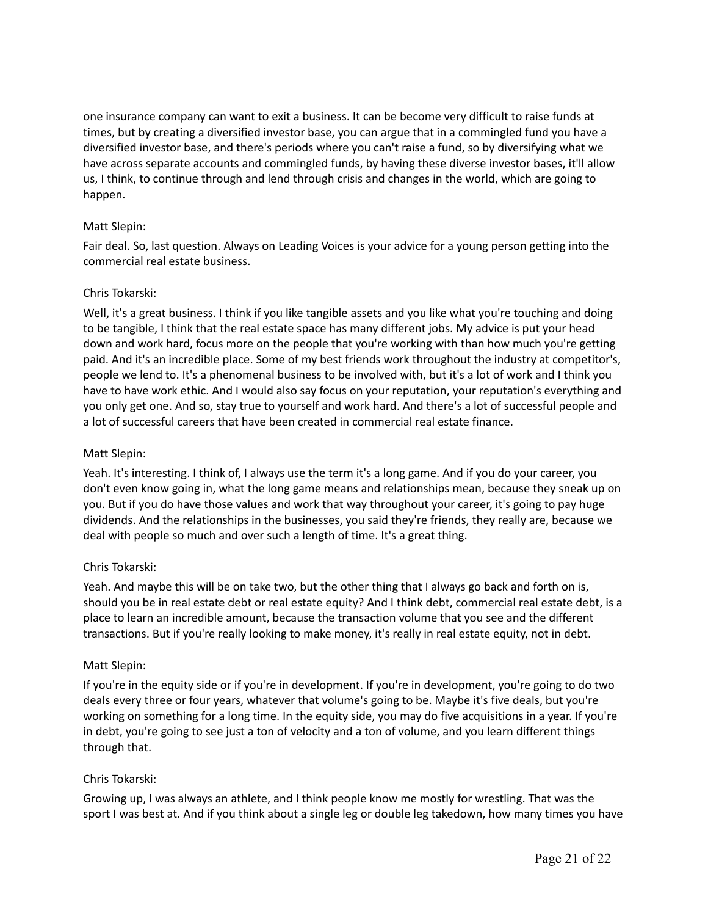one insurance company can want to exit a business. It can be become very difficult to raise funds at times, but by creating a diversified investor base, you can argue that in a commingled fund you have a diversified investor base, and there's periods where you can't raise a fund, so by diversifying what we have across separate accounts and commingled funds, by having these diverse investor bases, it'll allow us, I think, to continue through and lend through crisis and changes in the world, which are going to happen.

# Matt Slepin:

Fair deal. So, last question. Always on Leading Voices is your advice for a young person getting into the commercial real estate business.

# Chris Tokarski:

Well, it's a great business. I think if you like tangible assets and you like what you're touching and doing to be tangible, I think that the real estate space has many different jobs. My advice is put your head down and work hard, focus more on the people that you're working with than how much you're getting paid. And it's an incredible place. Some of my best friends work throughout the industry at competitor's, people we lend to. It's a phenomenal business to be involved with, but it's a lot of work and I think you have to have work ethic. And I would also say focus on your reputation, your reputation's everything and you only get one. And so, stay true to yourself and work hard. And there's a lot of successful people and a lot of successful careers that have been created in commercial real estate finance.

# Matt Slepin:

Yeah. It's interesting. I think of, I always use the term it's a long game. And if you do your career, you don't even know going in, what the long game means and relationships mean, because they sneak up on you. But if you do have those values and work that way throughout your career, it's going to pay huge dividends. And the relationships in the businesses, you said they're friends, they really are, because we deal with people so much and over such a length of time. It's a great thing.

## Chris Tokarski:

Yeah. And maybe this will be on take two, but the other thing that I always go back and forth on is, should you be in real estate debt or real estate equity? And I think debt, commercial real estate debt, is a place to learn an incredible amount, because the transaction volume that you see and the different transactions. But if you're really looking to make money, it's really in real estate equity, not in debt.

## Matt Slepin:

If you're in the equity side or if you're in development. If you're in development, you're going to do two deals every three or four years, whatever that volume's going to be. Maybe it's five deals, but you're working on something for a long time. In the equity side, you may do five acquisitions in a year. If you're in debt, you're going to see just a ton of velocity and a ton of volume, and you learn different things through that.

# Chris Tokarski:

Growing up, I was always an athlete, and I think people know me mostly for wrestling. That was the sport I was best at. And if you think about a single leg or double leg takedown, how many times you have